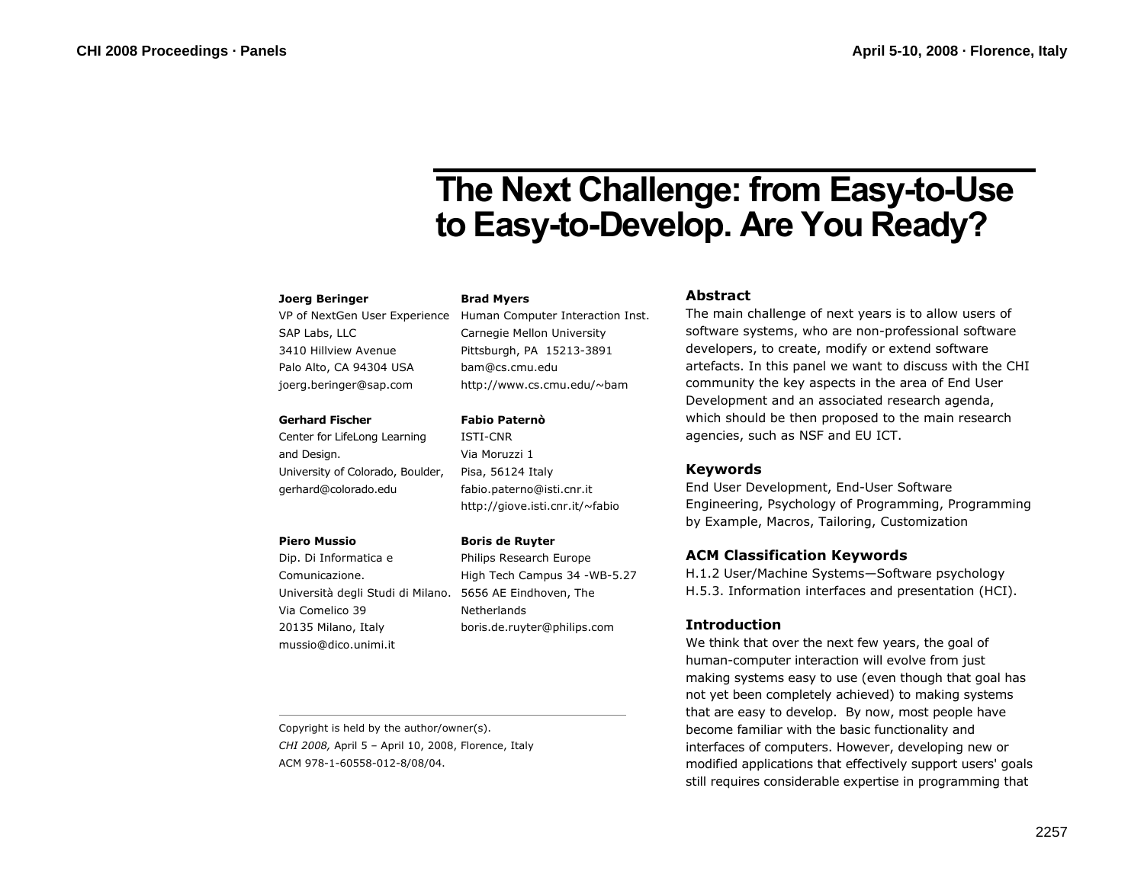# **The Next Challenge: from Easy-to-Use to Easy-to-Develop. Are You Ready?**

## **Joerg Beringer**

SAP Labs, LLC 3410 Hillview Avenue Palo Alto, CA 94304 USA joerg.beringer@sap.com

## **Gerhard Fischer**

Center for LifeLong Learning and Design. University of Colorado, Boulder, gerhard@colorado.edu

#### **Piero Mussio**

Dip. Di Informatica e Comunicazione. Università degli Studi di Milano. 5656 AE Eindhoven, The Via Comelico 39 20135 Milano, Italy mussio@dico.unimi.it

Copyright is held by the author/owner(s). *CHI 2008,* April 5 – April 10, 2008, Florence, Italy ACM 978-1-60558-012-8/08/04.

## **Brad Myers**

VP of NextGen User Experience Human Computer Interaction Inst. Carnegie Mellon University Pittsburgh, PA 15213-3891 bam@cs.cmu.edu http://www.cs.cmu.edu/~bam

## **Fabio Paternò**

ISTI-CNR Via Moruzzi 1 Pisa, 56124 Italy fabio.paterno@isti.cnr.it http://giove.isti.cnr.it/~fabio

## **Boris de Ruyter**

Philips Research Europe High Tech Campus 34 -WB-5.27 **Netherlands** boris.de.ruyter@philips.com

# **Abstract**

The main challenge of next years is to allow users of software systems, who are non-professional software developers, to create, modify or extend software artefacts. In this panel we want to discuss with the CHI community the key aspects in the area of End User Development and an associated research agenda, which should be then proposed to the main research agencies, such as NSF and EU ICT.

# **Keywords**

End User Development, End-User Software Engineering, Psychology of Programming, Programming by Example, Macros, Tailoring, Customization

# **ACM Classification Keywords**

H.1.2 User/Machine Systems—Software psychology H.5.3. Information interfaces and presentation (HCI).

# **Introduction**

We think that over the next few years, the goal of human-computer interaction will evolve from just making systems easy to use (even though that goal has not yet been completely achieved) to making systems that are easy to develop. By now, most people have become familiar with the basic functionality and interfaces of computers. However, developing new or modified applications that effectively support users' goals still requires considerable expertise in programming that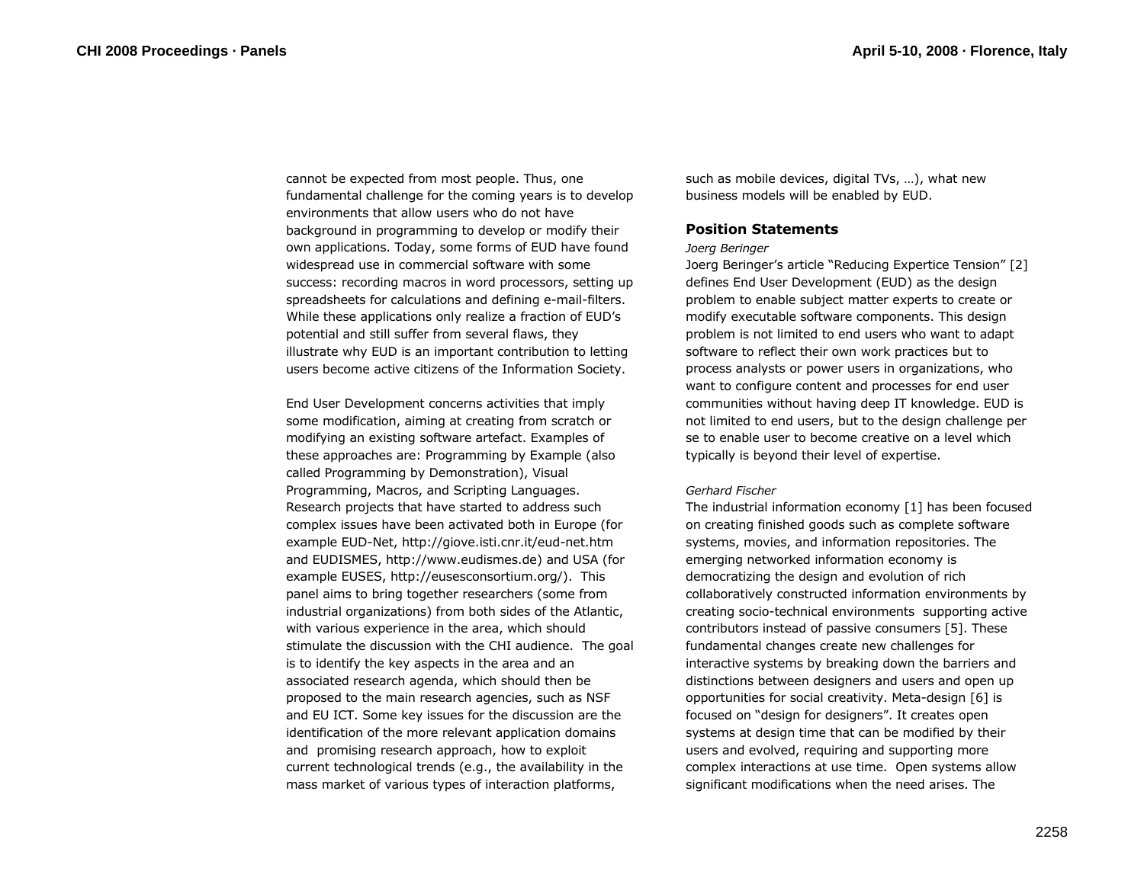cannot be expected from most people. Thus, one fundamental challenge for the coming years is to develop environments that allow users who do not have background in programming to develop or modify their own applications. Today, some forms of EUD have found widespread use in commercial software with some success: recording macros in word processors, setting up spreadsheets for calculations and defining e-mail-filters. While these applications only realize a fraction of EUD's potential and still suffer from several flaws, they illustrate why EUD is an important contribution to letting users become active citizens of the Information Society.

End User Development concerns activities that imply some modification, aiming at creating from scratch or modifying an existing software artefact. Examples of these approaches are: Programming by Example (also called Programming by Demonstration), Visual Programming, Macros, and Scripting Languages. Research projects that have started to address such complex issues have been activated both in Europe (for example EUD-Net, http://giove.isti.cnr.it/eud-net.htm and EUDISMES, http://www.eudismes.de) and USA (for example EUSES, http://eusesconsortium.org/). This panel aims to bring together researchers (some from industrial organizations) from both sides of the Atlantic, with various experience in the area, which should stimulate the discussion with the CHI audience. The goal is to identify the key aspects in the area and an associated research agenda, which should then be proposed to the main research agencies, such as NSF and EU ICT. Some key issues for the discussion are the identification of the more relevant application domains and promising research approach, how to exploit current technological trends (e.g., the availability in the mass market of various types of interaction platforms,

such as mobile devices, digital TVs, …), what new business models will be enabled by EUD.

# **Position Statements**

### *Joerg Beringer*

Joerg Beringer's article "Reducing Expertice Tension" [2] defines End User Development (EUD) as the design problem to enable subject matter experts to create or modify executable software components. This design problem is not limited to end users who want to adapt software to reflect their own work practices but to process analysts or power users in organizations, who want to configure content and processes for end user communities without having deep IT knowledge. EUD is not limited to end users, but to the design challenge per se to enable user to become creative on a level which typically is beyond their level of expertise.

## *Gerhard Fischer*

The industrial information economy [1] has been focused on creating finished goods such as complete software systems, movies, and information repositories. The emerging networked information economy is democratizing the design and evolution of rich collaboratively constructed information environments by creating socio-technical environments supporting active contributors instead of passive consumers [5]. These fundamental changes create new challenges for interactive systems by breaking down the barriers and distinctions between designers and users and open up opportunities for social creativity. Meta-design [6] is focused on "design for designers". It creates open systems at design time that can be modified by their users and evolved, requiring and supporting more complex interactions at use time. Open systems allow significant modifications when the need arises. The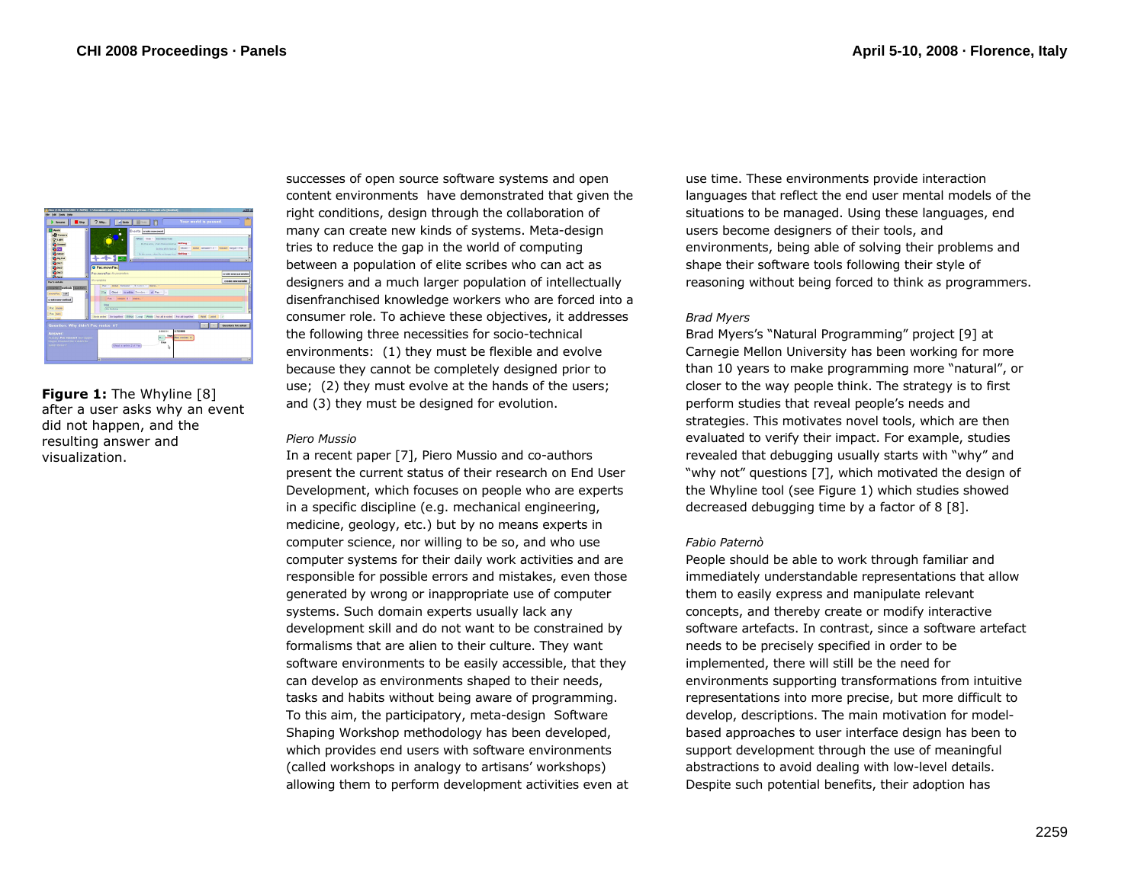

**Figure 1:** The Whyline [8] after a user asks why an event did not happen, and the resulting answer and visualization.

successes of open source software systems and open content environments have demonstrated that given the right conditions, design through the collaboration of many can create new kinds of systems. Meta-design tries to reduce the gap in the world of computing between a population of elite scribes who can act as designers and a much larger population of intellectually disenfranchised knowledge workers who are forced into a consumer role. To achieve these objectives, it addresses the following three necessities for socio-technical environments: (1) they must be flexible and evolve because they cannot be completely designed prior to use; (2) they must evolve at the hands of the users; and (3) they must be designed for evolution.

### *Piero Mussio*

In a recent paper [7], Piero Mussio and co-authors present the current status of their research on End User Development, which focuses on people who are experts in a specific discipline (e.g. mechanical engineering, medicine, geology, etc.) but by no means experts in computer science, nor willing to be so, and who use computer systems for their daily work activities and are responsible for possible errors and mistakes, even those generated by wrong or inappropriate use of computer systems. Such domain experts usually lack any development skill and do not want to be constrained by formalisms that are alien to their culture. They want software environments to be easily accessible, that they can develop as environments shaped to their needs, tasks and habits without being aware of programming. To this aim, the participatory, meta-design Software Shaping Workshop methodology has been developed, which provides end users with software environments (called workshops in analogy to artisans' workshops) allowing them to perform development activities even at use time. These environments provide interaction languages that reflect the end user mental models of the situations to be managed. Using these languages, end users become designers of their tools, and environments, being able of solving their problems and shape their software tools following their style of reasoning without being forced to think as programmers.

## *Brad Myers*

Brad Myers's "Natural Programming" project [9] at Carnegie Mellon University has been working for more than 10 years to make programming more "natural", or closer to the way people think. The strategy is to first perform studies that reveal people's needs and strategies. This motivates novel tools, which are then evaluated to verify their impact. For example, studies revealed that debugging usually starts with "why" and "why not" questions [7], which motivated the design of the Whyline tool (see Figure 1) which studies showed decreased debugging time by a factor of 8 [8].

# *Fabio Paternò*

People should be able to work through familiar and immediately understandable representations that allow them to easily express and manipulate relevant concepts, and thereby create or modify interactive software artefacts. In contrast, since a software artefact needs to be precisely specified in order to be implemented, there will still be the need for environments supporting transformations from intuitive representations into more precise, but more difficult to develop, descriptions. The main motivation for modelbased approaches to user interface design has been to support development through the use of meaningful abstractions to avoid dealing with low-level details. Despite such potential benefits, their adoption has